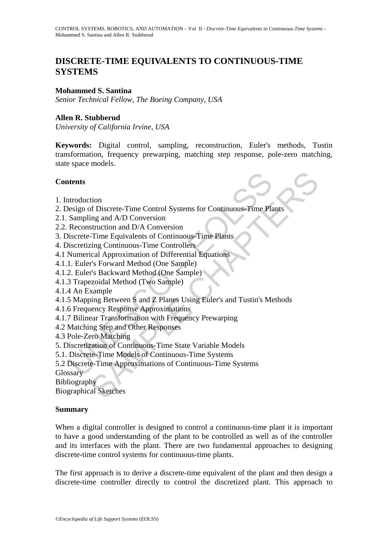# **DISCRETE-TIME EQUIVALENTS TO CONTINUOUS-TIME SYSTEMS**

### **Mohammed S. Santina**

*Senior Technical Fellow, The Boeing Company, USA*

## **Allen R. Stubberud**

*University of California Irvine, USA* 

**Keywords:** Digital control, sampling, reconstruction, Euler's methods, Tustin transformation, frequency prewarping, matching step response, pole-zero matching, state space models.

### **Contents**

- 1. Introduction
- 2. Design of Discrete-Time Control Systems for Continuous-Time Plants
- 2.1. Sampling and A/D Conversion
- 2.2. Reconstruction and D/A Conversion
- 3. Discrete-Time Equivalents of Continuous-Time Plants
- 4. Discretizing Continuous-Time Controllers
- 4.1 Numerical Approximation of Differential Equations
- 4.1.1. Euler's Forward Method (One Sample)
- 4.1.2. Euler's Backward Method (One Sample)
- 4.1.3 Trapezoidal Method (Two Sample)
- 4.1.4 An Example
- **thens**<br>
throduction<br>
throduction<br>
besign of Discrete-Time Control Systems for Continuous-Time Pla<br>
Sampling and A/D Conversion<br>
Reconstruction and D/A Conversion<br>
iscrete-Time Equivalents of Continuous-Time Plants<br>
iscret tion<br>
ing and A/D Conversion<br>
ing and A/D Conversion<br>
struction and D/A Conversion<br>
struction and D/A Conversion<br>
-Time Equivalents of Continuous-Time Plants<br>
ris Forward Method (One Sample)<br>
r's Forward Method (One Sample 4.1.5 Mapping Between S and Z Planes Using Euler's and Tustin's Methods
- 4.1.6 Frequency Response Approximations
- 4.1.7 Bilinear Transformation with Frequency Prewarping
- 4.2 Matching Step and Other Responses
- 4.3 Pole-Zero Matching
- 5. Discretization of Continuous-Time State Variable Models
- 5.1. Discrete-Time Models of Continuous-Time Systems
- 5.2 Discrete-Time Approximations of Continuous-Time Systems
- **Glossary**

Bibliography

Biographical Sketches

#### **Summary**

When a digital controller is designed to control a continuous-time plant it is important to have a good understanding of the plant to be controlled as well as of the controller and its interfaces with the plant. There are two fundamental approaches to designing discrete-time control systems for continuous-time plants.

The first approach is to derive a discrete-time equivalent of the plant and then design a discrete-time controller directly to control the discretized plant. This approach to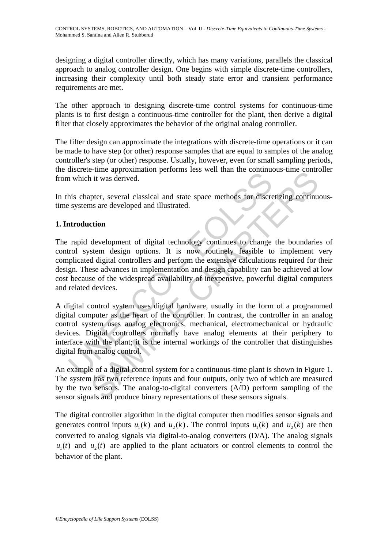designing a digital controller directly, which has many variations, parallels the classical approach to analog controller design. One begins with simple discrete-time controllers, increasing their complexity until both steady state error and transient performance requirements are met.

The other approach to designing discrete-time control systems for continuous-time plants is to first design a continuous-time controller for the plant, then derive a digital filter that closely approximates the behavior of the original analog controller.

The filter design can approximate the integrations with discrete-time operations or it can be made to have step (or other) response samples that are equal to samples of the analog controller's step (or other) response. Usually, however, even for small sampling periods, the discrete-time approximation performs less well than the continuous-time controller from which it was derived.

In this chapter, several classical and state space methods for discretizing continuoustime systems are developed and illustrated.

# **1. Introduction**

In which it was derived.<br>
In which it was derived.<br>
In which it was derived.<br>
In which it was derived.<br>
In this chapter, several classical and state space methods for discressystems are developed and illustrated.<br>
Introduc Final approximation performs it as well than the commodos-time commodes in the served of the pher, several classical and state space methods for discretizing continus are developed and illustrated.<br> **Chapter** developed an The rapid development of digital technology continues to change the boundaries of control system design options. It is now routinely feasible to implement very complicated digital controllers and perform the extensive calculations required for their design. These advances in implementation and design capability can be achieved at low cost because of the widespread availability of inexpensive, powerful digital computers and related devices.

A digital control system uses digital hardware, usually in the form of a programmed digital computer as the heart of the controller. In contrast, the controller in an analog control system uses analog electronics, mechanical, electromechanical or hydraulic devices. Digital controllers normally have analog elements at their periphery to interface with the plant; it is the internal workings of the controller that distinguishes digital from analog control.

An example of a digital control system for a continuous-time plant is shown in Figure 1. The system has two reference inputs and four outputs, only two of which are measured by the two sensors. The analog-to-digital converters (A/D) perform sampling of the sensor signals and produce binary representations of these sensors signals.

The digital controller algorithm in the digital computer then modifies sensor signals and generates control inputs  $u_1(k)$  and  $u_2(k)$ . The control inputs  $u_1(k)$  and  $u_2(k)$  are then converted to analog signals via digital-to-analog converters (D/A). The analog signals  $u_1(t)$  and  $u_2(t)$  are applied to the plant actuators or control elements to control the behavior of the plant.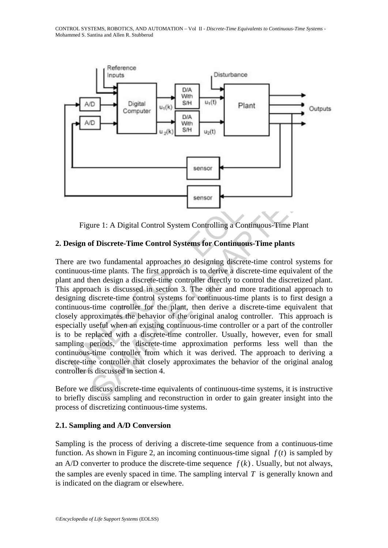

Figure 1: A Digital Control System Controlling a Continuous-Time Plant

## **2. Design of Discrete-Time Control Systems for Continuous-Time plants**

**Example 1:** A Digital Control System Controlling a Continuous-<br>
Eigure 1: A Digital Control System Controlling a Continuous-<br>
Time are are two fundamental approaches to designing discrete-time in<br>
timuous-time plants. The sensor<br>
The U.A Digital Control System Controlling a Continuous-Time Plant<br>
Sensor<br>
It is a Continuous-Time plants<br>
It is a Continuous-Time plants<br>
It is a discrete-time control Systems for Continuous-Time plants<br>
It is a There are two fundamental approaches to designing discrete-time control systems for continuous-time plants. The first approach is to derive a discrete-time equivalent of the plant and then design a discrete-time controller directly to control the discretized plant. This approach is discussed in section 3. The other and more traditional approach to designing discrete-time control systems for continuous-time plants is to first design a continuous-time controller for the plant, then derive a discrete-time equivalent that closely approximates the behavior of the original analog controller. This approach is especially useful when an existing continuous-time controller or a part of the controller is to be replaced with a discrete-time controller. Usually, however, even for small sampling periods, the discrete-time approximation performs less well than the continuous-time controller from which it was derived. The approach to deriving a discrete-time controller that closely approximates the behavior of the original analog controller is discussed in section 4.

Before we discuss discrete-time equivalents of continuous-time systems, it is instructive to briefly discuss sampling and reconstruction in order to gain greater insight into the process of discretizing continuous-time systems.

#### **2.1. Sampling and A/D Conversion**

Sampling is the process of deriving a discrete-time sequence from a continuous-time function. As shown in Figure 2, an incoming continuous-time signal  $f(t)$  is sampled by an A/D converter to produce the discrete-time sequence  $f(k)$ . Usually, but not always, the samples are evenly spaced in time. The sampling interval *T* is generally known and is indicated on the diagram or elsewhere.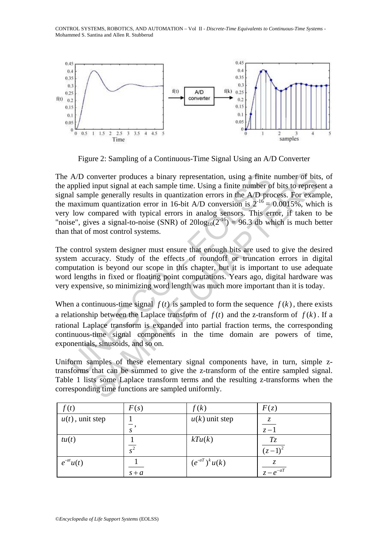

Figure 2: Sampling of a Continuous-Time Signal Using an A/D Converter

A/D converter produces a binary representation, using a finite<br>applied input signal at each sample time. Using a finite number of<br>al sample generally results in quantization errors in the A/D pro<br>maximum quantization erro onverter produces a binary representation, using a finite number of bits<br>input signal at each sample time. Using a finite number of bits to represent<br>ple generally results in quantization errors in the AD process. For exa The A/D converter produces a binary representation, using a finite number of bits, of the applied input signal at each sample time. Using a finite number of bits to represent a signal sample generally results in quantization errors in the A/D process. For example, the maximum quantization error in 16-bit A/D conversion is  $2^{-16} = 0.0015\%$ , which is very low compared with typical errors in analog sensors. This error, if taken to be "noise", gives a signal-to-noise (SNR) of  $20\log_{10}(2^{-16}) = 96.3$  db which is much better than that of most control systems.

The control system designer must ensure that enough bits are used to give the desired system accuracy. Study of the effects of roundoff or truncation errors in digital computation is beyond our scope in this chapter, but it is important to use adequate word lengths in fixed or floating point computations. Years ago, digital hardware was very expensive, so minimizing word length was much more important than it is today.

When a continuous-time signal  $f(t)$  is sampled to form the sequence  $f(k)$ , there exists a relationship between the Laplace transform of  $f(t)$  and the z-transform of  $f(k)$ . If a rational Laplace transform is expanded into partial fraction terms, the corresponding continuous-time signal components in the time domain are powers of time, exponentials, sinusoids, and so on.

Uniform samples of these elementary signal components have, in turn, simple ztransforms that can be summed to give the z-transform of the entire sampled signal. Table 1 lists some Laplace transform terms and the resulting z-transforms when the corresponding time functions are sampled uniformly.

| f(t)               | F(s)     | f(k)               | F(z)          |
|--------------------|----------|--------------------|---------------|
| $u(t)$ , unit step |          | $u(k)$ unit step   | Z,            |
|                    |          |                    | $z-1$         |
| tu(t)              |          | kTu(k)             | $T_{\rm Z}$   |
|                    | $\gamma$ |                    |               |
| $e^{-at}u(t)$      |          | $(e^{-aT})^k u(k)$ | Z.            |
|                    | $s + a$  |                    | $z - e^{-aT}$ |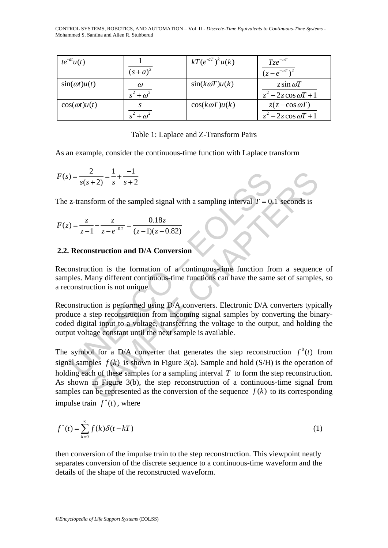| $te^{-at}u(t)$       |             | $kT(e^{-aT})^k u(k)$ | $Tze^{-aT}$             |
|----------------------|-------------|----------------------|-------------------------|
|                      | $(s+a)^2$   |                      | $(z - e^{-aT})^2$       |
| $\sin(\omega t)u(t)$ | $\omega$    | $sin(k\omega T)u(k)$ | z sin $\omega T$        |
|                      | $+\omega^2$ |                      | $z^2-2z\cos \omega T+1$ |
| $cos(\omega t)u(t)$  |             | $cos(k\omega T)u(k)$ | $z(z-\cos \omega T)$    |
|                      |             |                      | $z^2-2z\cos \omega T+1$ |

Table 1: Laplace and Z-Transform Pairs

As an example, consider the continuous-time function with Laplace transform

$$
F(s) = \frac{2}{s(s+2)} = \frac{1}{s} + \frac{-1}{s+2}
$$

The z-transform of the sampled signal with a sampling interval  $T = 0.1$  seconds is

$$
F(z) = \frac{z}{z-1} - \frac{z}{z - e^{-0.2}} = \frac{0.18z}{(z-1)(z-0.82)}
$$

#### **2.2. Reconstruction and D/A Conversion**

Reconstruction is the formation of a continuous-time function from a sequence of samples. Many different continuous-time functions can have the same set of samples, so a reconstruction is not unique.

 $y = \frac{2}{s(s+2)} = \frac{1}{s} + \frac{-1}{s+2}$ <br>
z-transform of the sampled signal with a sampling interval  $T = 0$ .<br>  $y(t) = \frac{z}{z-1} - \frac{z}{z-e^{-0.2}} = \frac{0.18z}{(z-1)(z-0.82)}$ <br> **Reconstruction and D/A Conversion**<br>
construction is the formation Reconstruction is performed using D/A converters. Electronic D/A converters typically produce a step reconstruction from incoming signal samples by converting the binarycoded digital input to a voltage, transferring the voltage to the output, and holding the output voltage constant until the next sample is available.

 $\frac{2}{s} = \frac{1}{s} + \frac{-1}{s+2}$  form of the sampled signal with a sampling interval  $T = 0.1$  seconds is<br>  $\frac{2}{s} + \frac{2}{s+2} = \frac{0.18z}{(z-1)(z-0.82)}$ <br> **Instruction and D/A Conversion**<br>
struction is the formation of a continuous-The symbol for a D/A converter that generates the step reconstruction  $f^0(t)$  from signal samples  $f(k)$  is shown in Figure 3(a). Sample and hold (S/H) is the operation of holding each of these samples for a sampling interval *T* to form the step reconstruction. As shown in Figure 3(b), the step reconstruction of a continuous-time signal from samples can be represented as the conversion of the sequence  $f(k)$  to its corresponding impulse train  $f^*(t)$ , where

$$
f^*(t) = \sum_{k=0}^{\infty} f(k)\delta(t - kT)
$$
 (1)

then conversion of the impulse train to the step reconstruction. This viewpoint neatly separates conversion of the discrete sequence to a continuous-time waveform and the details of the shape of the reconstructed waveform.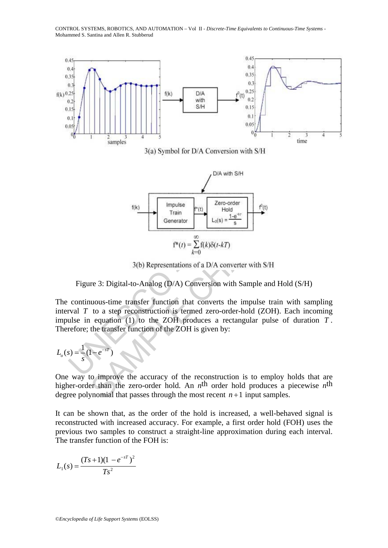

Figure 3: Digital-to-Analog (D/A) Conversion with Sample and Hold (S/H)

The continuous-time transfer function that converts the impulse train with sampling interval  $T$  to a step reconstruction is termed zero-order-hold (ZOH). Each incoming impulse in equation (1) to the ZOH produces a rectangular pulse of duration *T* . Therefore; the transfer function of the ZOH is given by:

$$
L_o(s) = \frac{1}{s}(1 - e^{-sT})
$$

One way to improve the accuracy of the reconstruction is to employ holds that are higher-order than the zero-order hold. An *n*<sup>th</sup> order hold produces a piecewise *n*<sup>th</sup> degree polynomial that passes through the most recent  $n+1$  input samples.

It can be shown that, as the order of the hold is increased, a well-behaved signal is reconstructed with increased accuracy. For example, a first order hold (FOH) uses the previous two samples to construct a straight-line approximation during each interval. The transfer function of the FOH is:

$$
L_1(s) = \frac{(Ts+1)(1-e^{-sT})^2}{Ts^2}
$$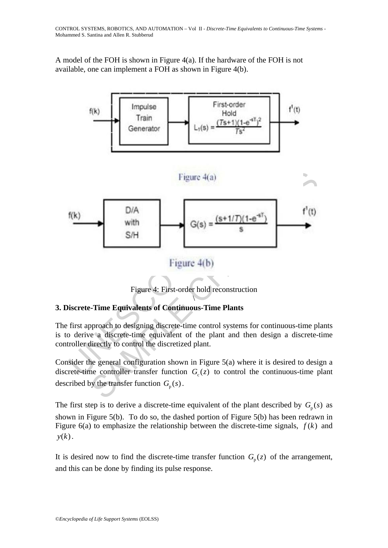A model of the FOH is shown in Figure 4(a). If the hardware of the FOH is not available, one can implement a FOH as shown in Figure 4(b).



Figure 4: First-order hold reconstruction  $\overline{\phantom{a}}$ 

# **3. Discrete-Time Equivalents of Continuous-Time Plants**

The first approach to designing discrete-time control systems for continuous-time plants is to derive a discrete-time equivalent of the plant and then design a discrete-time controller directly to control the discretized plant.

Consider the general configuration shown in Figure 5(a) where it is desired to design a discrete-time controller transfer function  $G_c(z)$  to control the continuous-time plant described by the transfer function  $G_p(s)$ .

The first step is to derive a discrete-time equivalent of the plant described by  $G_n(s)$  as shown in Figure 5(b). To do so, the dashed portion of Figure 5(b) has been redrawn in Figure 6(a) to emphasize the relationship between the discrete-time signals,  $f(k)$  and  $y(k)$ .

It is desired now to find the discrete-time transfer function  $G_p(z)$  of the arrangement, and this can be done by finding its pulse response.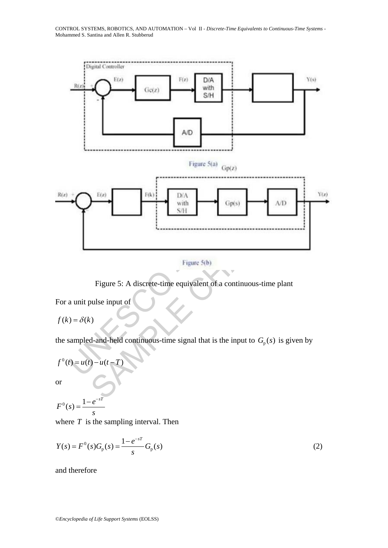



Figure 5: A discrete-time equivalent of a continuous-time plant

For a unit pulse input of

 $f(k) = \delta(k)$ 

the sampled-and-held continuous-time signal that is the input to  $G_p(s)$  is given by

$$
f^{0}(t) = u(t) - u(t-T)
$$

or

$$
F^0(s) = \frac{1 - e^{-sT}}{s}
$$

where *T* is the sampling interval. Then

$$
Y(s) = F^{0}(s)G_{p}(s) = \frac{1 - e^{-sT}}{s}G_{p}(s)
$$
\n(2)

and therefore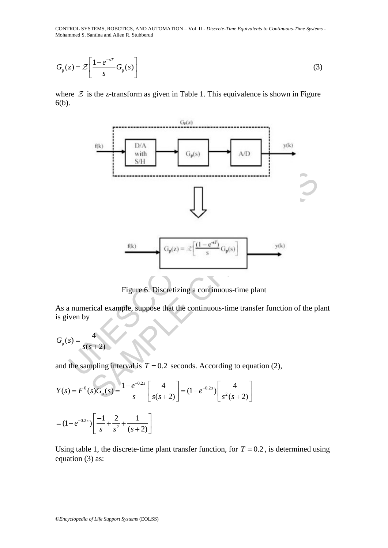$$
G_{\mathbf{p}}(z) = \mathcal{Z} \left[ \frac{1 - e^{-sT}}{s} G_{\mathbf{p}}(s) \right]
$$
 (3)

where  $\mathcal Z$  is the z-transform as given in Table 1. This equivalence is shown in Figure 6(b).



Figure 6: Discretizing a continuous-time plant

As a numerical example, suppose that the continuous-time transfer function of the plant is given by

$$
G_{\rm p}(s) = \frac{4}{s(s+2)}
$$

and the sampling interval is  $T = 0.2$  seconds. According to equation (2),

$$
Y(s) = F^{0}(s)G_{p}(s) = \frac{1 - e^{-0.2s}}{s} \left[ \frac{4}{s(s+2)} \right] = (1 - e^{-0.2s}) \left[ \frac{4}{s^{2}(s+2)} \right]
$$

$$
= (1 - e^{-0.2s}) \left[ \frac{-1}{s} + \frac{2}{s^{2}} + \frac{1}{(s+2)} \right]
$$

Using table 1, the discrete-time plant transfer function, for  $T = 0.2$ , is determined using equation (3) as: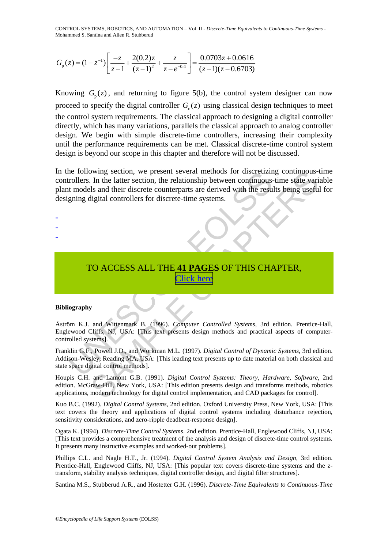$$
G_{\rm p}(z) = (1 - z^{-1}) \left[ \frac{-z}{z - 1} + \frac{2(0.2)z}{(z - 1)^2} + \frac{z}{z - e^{-0.4}} \right] = \frac{0.0703z + 0.0616}{(z - 1)(z - 0.6703)}
$$

Knowing  $G_p(z)$ , and returning to figure 5(b), the control system designer can now proceed to specify the digital controller  $G_c(z)$  using classical design techniques to meet the control system requirements. The classical approach to designing a digital controller directly, which has many variations, parallels the classical approach to analog controller design. We begin with simple discrete-time controllers, increasing their complexity until the performance requirements can be met. Classical discrete-time control system design is beyond our scope in this chapter and therefore will not be discussed.

Trollers. In the latter section, the relationship between continuous<br>tricolers. In the latter section, the relationship between continuous-<br>gning digital controllers for discrete-time systems.<br>T[O](https://www.eolss.net/ebooklib/sc_cart.aspx?File=E6-43-04-02)ACCESS ALL THE 41 PAGES OF The latter section, the peaking helteration and CAD packages for control<br>1. In the latter section, the relationship between confinuous--time state variables<br>1.5 and their discrete counterparts are derived with the results In the following section, we present several methods for discretizing continuous-time controllers. In the latter section, the relationship between continuous-time state variable plant models and their discrete counterparts are derived with the results being useful for designing digital controllers for discrete-time systems.

# TO ACCESS ALL THE **41 PAGES** OF THIS CHAPTER, Click here

#### **Bibliography**

- - -

Åström K.J. and Wittenmark B. (1996). *Computer Controlled Systems*, 3rd edition. Prentice-Hall, Englewood Cliffs, NJ, USA: [This text presents design methods and practical aspects of computercontrolled systems].

Franklin G.F., Powell J.D., and Workman M.L. (1997). *Digital Control of Dynamic Systems*, 3rd edition. Addison-Wesley, Reading MA, USA: [This leading text presents up to date material on both classical and state space digital control methods].

Houpis C.H. and Lamont G.B. (1991). *Digital Control Systems: Theory, Hardware, Software*, 2nd edition. McGraw-Hill, New York, USA: [This edition presents design and transforms methods, robotics applications, modern technology for digital control implementation, and CAD packages for control].

Kuo B.C. (1992). *Digital Control Systems*, 2nd edition. Oxford University Press, New York, USA: [This text covers the theory and applications of digital control systems including disturbance rejection, sensitivity considerations, and zero-ripple deadbeat-response design].

Ogata K. (1994). *Discrete-Time Control Systems*. 2nd edition. Prentice-Hall, Englewood Cliffs, NJ, USA: [This text provides a comprehensive treatment of the analysis and design of discrete-time control systems. It presents many instructive examples and worked-out problems].

Phillips C.L. and Nagle H.T., Jr. (1994). *Digital Control System Analysis and Design*, 3rd edition. Prentice-Hall, Englewood Cliffs, NJ, USA: [This popular text covers discrete-time systems and the ztransform, stability analysis techniques, digital controller design, and digital filter structures].

Santina M.S., Stubberud A.R., and Hostetter G.H. (1996). *Discrete-Time Equivalents to Continuous-Time*